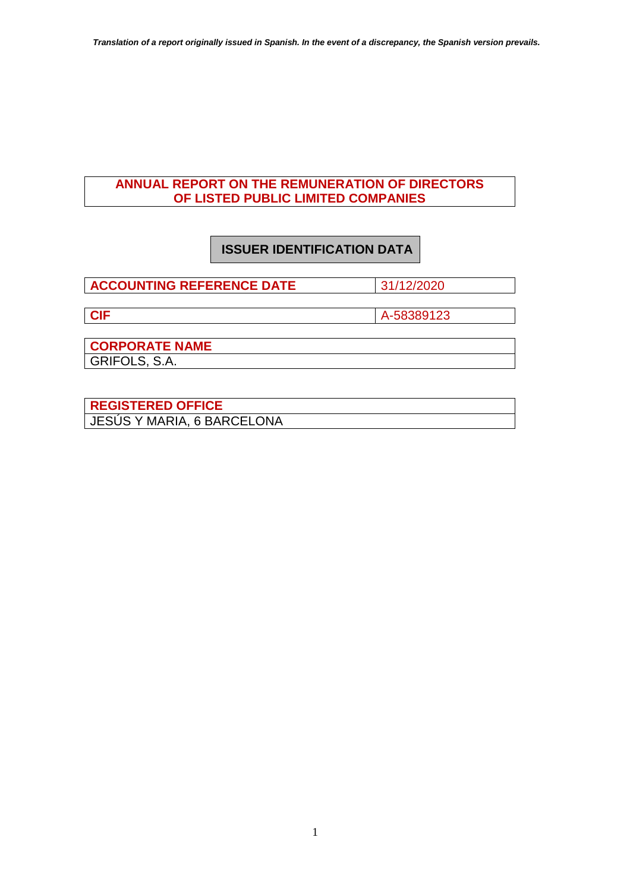## **ANNUAL REPORT ON THE REMUNERATION OF DIRECTORS OF LISTED PUBLIC LIMITED COMPANIES**

# **ISSUER IDENTIFICATION DATA**

**ACCOUNTING REFERENCE DATE** 31/12/2020

**CIF** A-58389123

**CORPORATE NAME**  GRIFOLS, S.A.

**REGISTERED OFFICE**  JESÚS Y MARIA, 6 BARCELONA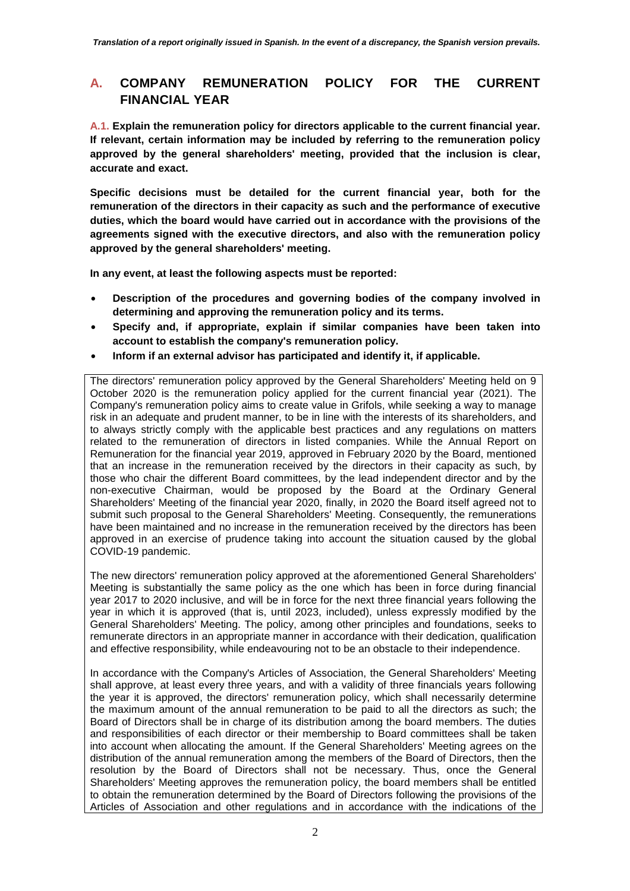## **A. COMPANY REMUNERATION POLICY FOR THE CURRENT FINANCIAL YEAR**

**A.1. Explain the remuneration policy for directors applicable to the current financial year. If relevant, certain information may be included by referring to the remuneration policy approved by the general shareholders' meeting, provided that the inclusion is clear, accurate and exact.** 

**Specific decisions must be detailed for the current financial year, both for the remuneration of the directors in their capacity as such and the performance of executive duties, which the board would have carried out in accordance with the provisions of the agreements signed with the executive directors, and also with the remuneration policy approved by the general shareholders' meeting.** 

**In any event, at least the following aspects must be reported:** 

- **Description of the procedures and governing bodies of the company involved in determining and approving the remuneration policy and its terms.**
- **Specify and, if appropriate, explain if similar companies have been taken into account to establish the company's remuneration policy.**
- **Inform if an external advisor has participated and identify it, if applicable.**

The directors' remuneration policy approved by the General Shareholders' Meeting held on 9 October 2020 is the remuneration policy applied for the current financial year (2021). The Company's remuneration policy aims to create value in Grifols, while seeking a way to manage risk in an adequate and prudent manner, to be in line with the interests of its shareholders, and to always strictly comply with the applicable best practices and any regulations on matters related to the remuneration of directors in listed companies. While the Annual Report on Remuneration for the financial year 2019, approved in February 2020 by the Board, mentioned that an increase in the remuneration received by the directors in their capacity as such, by those who chair the different Board committees, by the lead independent director and by the non-executive Chairman, would be proposed by the Board at the Ordinary General Shareholders' Meeting of the financial year 2020, finally, in 2020 the Board itself agreed not to submit such proposal to the General Shareholders' Meeting. Consequently, the remunerations have been maintained and no increase in the remuneration received by the directors has been approved in an exercise of prudence taking into account the situation caused by the global COVID-19 pandemic.

The new directors' remuneration policy approved at the aforementioned General Shareholders' Meeting is substantially the same policy as the one which has been in force during financial year 2017 to 2020 inclusive, and will be in force for the next three financial years following the year in which it is approved (that is, until 2023, included), unless expressly modified by the General Shareholders' Meeting. The policy, among other principles and foundations, seeks to remunerate directors in an appropriate manner in accordance with their dedication, qualification and effective responsibility, while endeavouring not to be an obstacle to their independence.

In accordance with the Company's Articles of Association, the General Shareholders' Meeting shall approve, at least every three years, and with a validity of three financials years following the year it is approved, the directors' remuneration policy, which shall necessarily determine the maximum amount of the annual remuneration to be paid to all the directors as such; the Board of Directors shall be in charge of its distribution among the board members. The duties and responsibilities of each director or their membership to Board committees shall be taken into account when allocating the amount. If the General Shareholders' Meeting agrees on the distribution of the annual remuneration among the members of the Board of Directors, then the resolution by the Board of Directors shall not be necessary. Thus, once the General Shareholders' Meeting approves the remuneration policy, the board members shall be entitled to obtain the remuneration determined by the Board of Directors following the provisions of the Articles of Association and other regulations and in accordance with the indications of the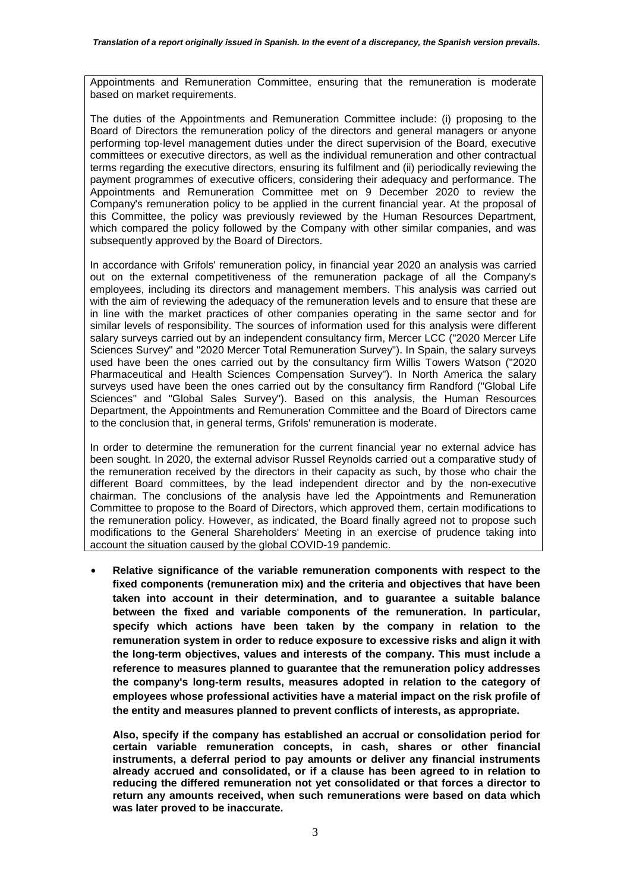Appointments and Remuneration Committee, ensuring that the remuneration is moderate based on market requirements.

The duties of the Appointments and Remuneration Committee include: (i) proposing to the Board of Directors the remuneration policy of the directors and general managers or anyone performing top-level management duties under the direct supervision of the Board, executive committees or executive directors, as well as the individual remuneration and other contractual terms regarding the executive directors, ensuring its fulfilment and (ii) periodically reviewing the payment programmes of executive officers, considering their adequacy and performance. The Appointments and Remuneration Committee met on 9 December 2020 to review the Company's remuneration policy to be applied in the current financial year. At the proposal of this Committee, the policy was previously reviewed by the Human Resources Department, which compared the policy followed by the Company with other similar companies, and was subsequently approved by the Board of Directors.

In accordance with Grifols' remuneration policy, in financial year 2020 an analysis was carried out on the external competitiveness of the remuneration package of all the Company's employees, including its directors and management members. This analysis was carried out with the aim of reviewing the adequacy of the remuneration levels and to ensure that these are in line with the market practices of other companies operating in the same sector and for similar levels of responsibility. The sources of information used for this analysis were different salary surveys carried out by an independent consultancy firm, Mercer LCC ("2020 Mercer Life Sciences Survey" and "2020 Mercer Total Remuneration Survey"). In Spain, the salary surveys used have been the ones carried out by the consultancy firm Willis Towers Watson ("2020 Pharmaceutical and Health Sciences Compensation Survey"). In North America the salary surveys used have been the ones carried out by the consultancy firm Randford ("Global Life Sciences" and "Global Sales Survey"). Based on this analysis, the Human Resources Department, the Appointments and Remuneration Committee and the Board of Directors came to the conclusion that, in general terms, Grifols' remuneration is moderate.

In order to determine the remuneration for the current financial year no external advice has been sought. In 2020, the external advisor Russel Reynolds carried out a comparative study of the remuneration received by the directors in their capacity as such, by those who chair the different Board committees, by the lead independent director and by the non-executive chairman. The conclusions of the analysis have led the Appointments and Remuneration Committee to propose to the Board of Directors, which approved them, certain modifications to the remuneration policy. However, as indicated, the Board finally agreed not to propose such modifications to the General Shareholders' Meeting in an exercise of prudence taking into account the situation caused by the global COVID-19 pandemic.

• **Relative significance of the variable remuneration components with respect to the fixed components (remuneration mix) and the criteria and objectives that have been taken into account in their determination, and to guarantee a suitable balance between the fixed and variable components of the remuneration. In particular, specify which actions have been taken by the company in relation to the remuneration system in order to reduce exposure to excessive risks and align it with the long-term objectives, values and interests of the company. This must include a reference to measures planned to guarantee that the remuneration policy addresses the company's long-term results, measures adopted in relation to the category of employees whose professional activities have a material impact on the risk profile of the entity and measures planned to prevent conflicts of interests, as appropriate.** 

**Also, specify if the company has established an accrual or consolidation period for certain variable remuneration concepts, in cash, shares or other financial instruments, a deferral period to pay amounts or deliver any financial instruments already accrued and consolidated, or if a clause has been agreed to in relation to reducing the differed remuneration not yet consolidated or that forces a director to return any amounts received, when such remunerations were based on data which was later proved to be inaccurate.**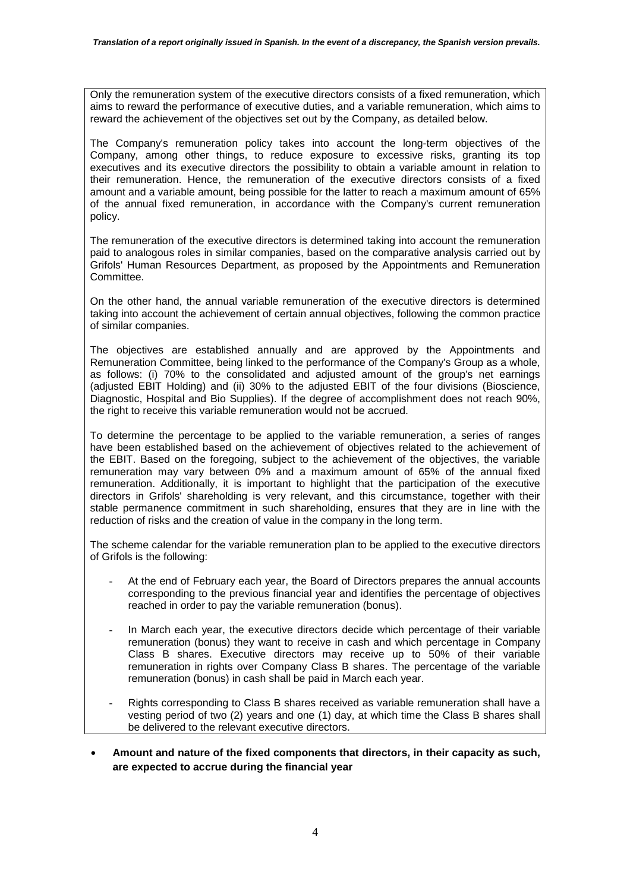Only the remuneration system of the executive directors consists of a fixed remuneration, which aims to reward the performance of executive duties, and a variable remuneration, which aims to reward the achievement of the objectives set out by the Company, as detailed below.

The Company's remuneration policy takes into account the long-term objectives of the Company, among other things, to reduce exposure to excessive risks, granting its top executives and its executive directors the possibility to obtain a variable amount in relation to their remuneration. Hence, the remuneration of the executive directors consists of a fixed amount and a variable amount, being possible for the latter to reach a maximum amount of 65% of the annual fixed remuneration, in accordance with the Company's current remuneration policy.

The remuneration of the executive directors is determined taking into account the remuneration paid to analogous roles in similar companies, based on the comparative analysis carried out by Grifols' Human Resources Department, as proposed by the Appointments and Remuneration **Committee.** 

On the other hand, the annual variable remuneration of the executive directors is determined taking into account the achievement of certain annual objectives, following the common practice of similar companies.

The objectives are established annually and are approved by the Appointments and Remuneration Committee, being linked to the performance of the Company's Group as a whole, as follows: (i) 70% to the consolidated and adjusted amount of the group's net earnings (adjusted EBIT Holding) and (ii) 30% to the adjusted EBIT of the four divisions (Bioscience, Diagnostic, Hospital and Bio Supplies). If the degree of accomplishment does not reach 90%, the right to receive this variable remuneration would not be accrued.

To determine the percentage to be applied to the variable remuneration, a series of ranges have been established based on the achievement of objectives related to the achievement of the EBIT. Based on the foregoing, subject to the achievement of the objectives, the variable remuneration may vary between 0% and a maximum amount of 65% of the annual fixed remuneration. Additionally, it is important to highlight that the participation of the executive directors in Grifols' shareholding is very relevant, and this circumstance, together with their stable permanence commitment in such shareholding, ensures that they are in line with the reduction of risks and the creation of value in the company in the long term.

The scheme calendar for the variable remuneration plan to be applied to the executive directors of Grifols is the following:

- At the end of February each year, the Board of Directors prepares the annual accounts corresponding to the previous financial year and identifies the percentage of objectives reached in order to pay the variable remuneration (bonus).
- In March each year, the executive directors decide which percentage of their variable remuneration (bonus) they want to receive in cash and which percentage in Company Class B shares. Executive directors may receive up to 50% of their variable remuneration in rights over Company Class B shares. The percentage of the variable remuneration (bonus) in cash shall be paid in March each year.
- Rights corresponding to Class B shares received as variable remuneration shall have a vesting period of two (2) years and one (1) day, at which time the Class B shares shall be delivered to the relevant executive directors.
- **Amount and nature of the fixed components that directors, in their capacity as such, are expected to accrue during the financial year**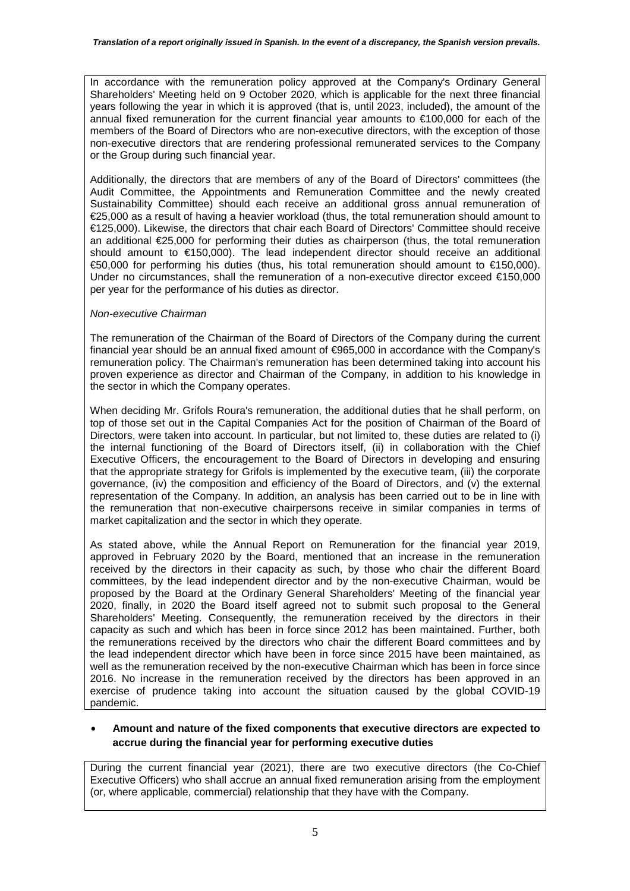In accordance with the remuneration policy approved at the Company's Ordinary General Shareholders' Meeting held on 9 October 2020, which is applicable for the next three financial years following the year in which it is approved (that is, until 2023, included), the amount of the annual fixed remuneration for the current financial year amounts to  $\epsilon$ 100,000 for each of the members of the Board of Directors who are non-executive directors, with the exception of those non-executive directors that are rendering professional remunerated services to the Company or the Group during such financial year.

Additionally, the directors that are members of any of the Board of Directors' committees (the Audit Committee, the Appointments and Remuneration Committee and the newly created Sustainability Committee) should each receive an additional gross annual remuneration of €25,000 as a result of having a heavier workload (thus, the total remuneration should amount to €125,000). Likewise, the directors that chair each Board of Directors' Committee should receive an additional €25,000 for performing their duties as chairperson (thus, the total remuneration should amount to €150,000). The lead independent director should receive an additional €50,000 for performing his duties (thus, his total remuneration should amount to €150,000). Under no circumstances, shall the remuneration of a non-executive director exceed €150,000 per year for the performance of his duties as director.

### *Non-executive Chairman*

The remuneration of the Chairman of the Board of Directors of the Company during the current financial year should be an annual fixed amount of €965,000 in accordance with the Company's remuneration policy. The Chairman's remuneration has been determined taking into account his proven experience as director and Chairman of the Company, in addition to his knowledge in the sector in which the Company operates.

When deciding Mr. Grifols Roura's remuneration, the additional duties that he shall perform, on top of those set out in the Capital Companies Act for the position of Chairman of the Board of Directors, were taken into account. In particular, but not limited to, these duties are related to (i) the internal functioning of the Board of Directors itself, (ii) in collaboration with the Chief Executive Officers, the encouragement to the Board of Directors in developing and ensuring that the appropriate strategy for Grifols is implemented by the executive team, (iii) the corporate governance, (iv) the composition and efficiency of the Board of Directors, and (v) the external representation of the Company. In addition, an analysis has been carried out to be in line with the remuneration that non-executive chairpersons receive in similar companies in terms of market capitalization and the sector in which they operate.

As stated above, while the Annual Report on Remuneration for the financial year 2019, approved in February 2020 by the Board, mentioned that an increase in the remuneration received by the directors in their capacity as such, by those who chair the different Board committees, by the lead independent director and by the non-executive Chairman, would be proposed by the Board at the Ordinary General Shareholders' Meeting of the financial year 2020, finally, in 2020 the Board itself agreed not to submit such proposal to the General Shareholders' Meeting. Consequently, the remuneration received by the directors in their capacity as such and which has been in force since 2012 has been maintained. Further, both the remunerations received by the directors who chair the different Board committees and by the lead independent director which have been in force since 2015 have been maintained, as well as the remuneration received by the non-executive Chairman which has been in force since 2016. No increase in the remuneration received by the directors has been approved in an exercise of prudence taking into account the situation caused by the global COVID-19 pandemic.

### • **Amount and nature of the fixed components that executive directors are expected to accrue during the financial year for performing executive duties**

During the current financial year (2021), there are two executive directors (the Co-Chief Executive Officers) who shall accrue an annual fixed remuneration arising from the employment (or, where applicable, commercial) relationship that they have with the Company.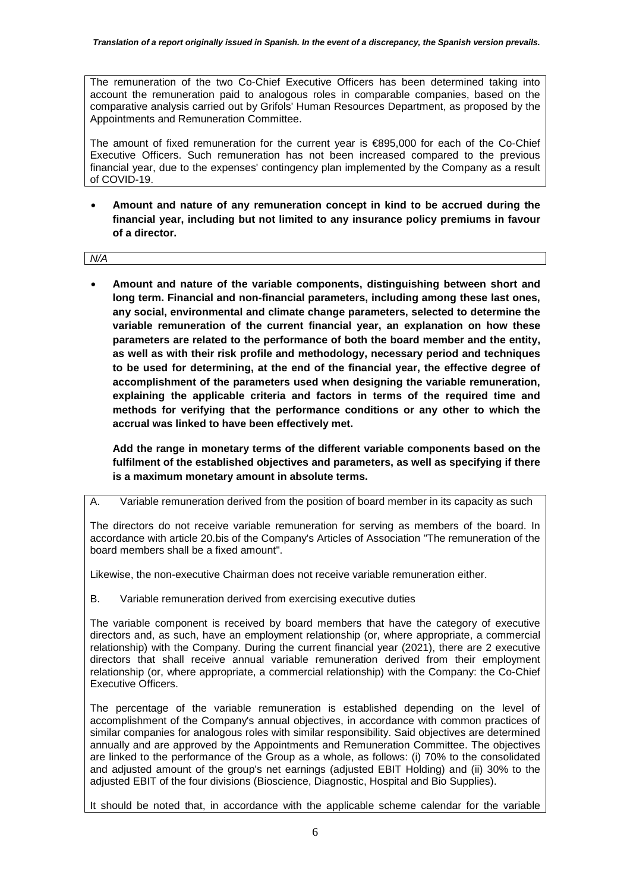The remuneration of the two Co-Chief Executive Officers has been determined taking into account the remuneration paid to analogous roles in comparable companies, based on the comparative analysis carried out by Grifols' Human Resources Department, as proposed by the Appointments and Remuneration Committee.

The amount of fixed remuneration for the current year is €895,000 for each of the Co-Chief Executive Officers. Such remuneration has not been increased compared to the previous financial year, due to the expenses' contingency plan implemented by the Company as a result of COVID-19.

• **Amount and nature of any remuneration concept in kind to be accrued during the financial year, including but not limited to any insurance policy premiums in favour of a director.**

*N/A* 

• **Amount and nature of the variable components, distinguishing between short and long term. Financial and non-financial parameters, including among these last ones, any social, environmental and climate change parameters, selected to determine the variable remuneration of the current financial year, an explanation on how these parameters are related to the performance of both the board member and the entity, as well as with their risk profile and methodology, necessary period and techniques to be used for determining, at the end of the financial year, the effective degree of accomplishment of the parameters used when designing the variable remuneration, explaining the applicable criteria and factors in terms of the required time and methods for verifying that the performance conditions or any other to which the accrual was linked to have been effectively met.** 

**Add the range in monetary terms of the different variable components based on the fulfilment of the established objectives and parameters, as well as specifying if there is a maximum monetary amount in absolute terms.** 

### A. Variable remuneration derived from the position of board member in its capacity as such

The directors do not receive variable remuneration for serving as members of the board. In accordance with article 20.bis of the Company's Articles of Association "The remuneration of the board members shall be a fixed amount".

Likewise, the non-executive Chairman does not receive variable remuneration either.

B. Variable remuneration derived from exercising executive duties

The variable component is received by board members that have the category of executive directors and, as such, have an employment relationship (or, where appropriate, a commercial relationship) with the Company. During the current financial year (2021), there are 2 executive directors that shall receive annual variable remuneration derived from their employment relationship (or, where appropriate, a commercial relationship) with the Company: the Co-Chief Executive Officers.

The percentage of the variable remuneration is established depending on the level of accomplishment of the Company's annual objectives, in accordance with common practices of similar companies for analogous roles with similar responsibility. Said objectives are determined annually and are approved by the Appointments and Remuneration Committee. The objectives are linked to the performance of the Group as a whole, as follows: (i) 70% to the consolidated and adjusted amount of the group's net earnings (adjusted EBIT Holding) and (ii) 30% to the adjusted EBIT of the four divisions (Bioscience, Diagnostic, Hospital and Bio Supplies).

It should be noted that, in accordance with the applicable scheme calendar for the variable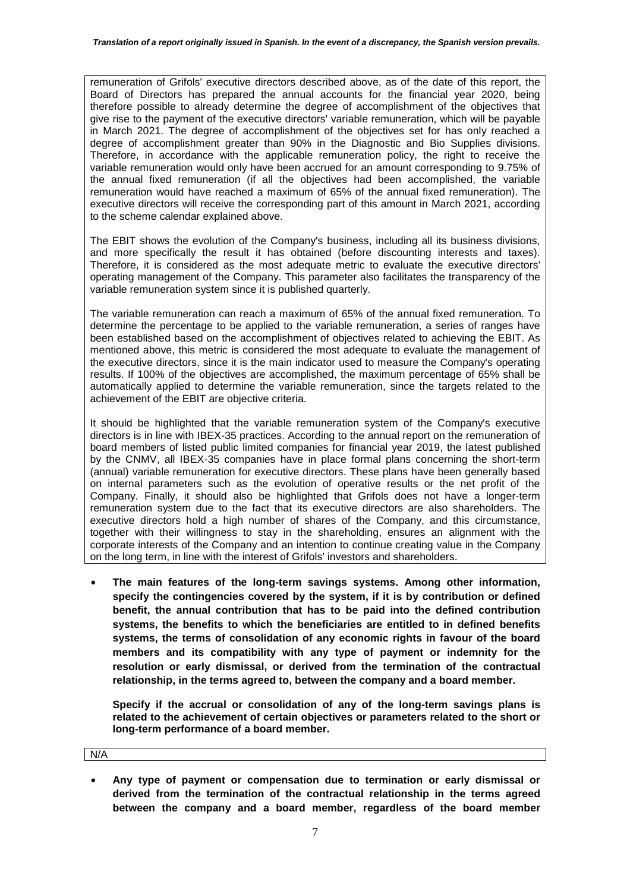remuneration of Grifols' executive directors described above, as of the date of this report, the Board of Directors has prepared the annual accounts for the financial year 2020, being therefore possible to already determine the degree of accomplishment of the objectives that give rise to the payment of the executive directors' variable remuneration, which will be payable in March 2021. The degree of accomplishment of the objectives set for has only reached a degree of accomplishment greater than 90% in the Diagnostic and Bio Supplies divisions. Therefore, in accordance with the applicable remuneration policy, the right to receive the variable remuneration would only have been accrued for an amount corresponding to 9.75% of the annual fixed remuneration (if all the objectives had been accomplished, the variable remuneration would have reached a maximum of 65% of the annual fixed remuneration). The executive directors will receive the corresponding part of this amount in March 2021, according to the scheme calendar explained above.

The EBIT shows the evolution of the Company's business, including all its business divisions, and more specifically the result it has obtained (before discounting interests and taxes). Therefore, it is considered as the most adequate metric to evaluate the executive directors' operating management of the Company. This parameter also facilitates the transparency of the variable remuneration system since it is published quarterly.

The variable remuneration can reach a maximum of 65% of the annual fixed remuneration. To determine the percentage to be applied to the variable remuneration, a series of ranges have been established based on the accomplishment of objectives related to achieving the EBIT. As mentioned above, this metric is considered the most adequate to evaluate the management of the executive directors, since it is the main indicator used to measure the Company's operating results. If 100% of the objectives are accomplished, the maximum percentage of 65% shall be automatically applied to determine the variable remuneration, since the targets related to the achievement of the EBIT are objective criteria.

It should be highlighted that the variable remuneration system of the Company's executive directors is in line with IBEX-35 practices. According to the annual report on the remuneration of board members of listed public limited companies for financial year 2019, the latest published by the CNMV, all IBEX-35 companies have in place formal plans concerning the short-term (annual) variable remuneration for executive directors. These plans have been generally based on internal parameters such as the evolution of operative results or the net profit of the Company. Finally, it should also be highlighted that Grifols does not have a longer-term remuneration system due to the fact that its executive directors are also shareholders. The executive directors hold a high number of shares of the Company, and this circumstance, together with their willingness to stay in the shareholding, ensures an alignment with the corporate interests of the Company and an intention to continue creating value in the Company on the long term, in line with the interest of Grifols' investors and shareholders.

• **The main features of the long-term savings systems. Among other information, specify the contingencies covered by the system, if it is by contribution or defined benefit, the annual contribution that has to be paid into the defined contribution systems, the benefits to which the beneficiaries are entitled to in defined benefits systems, the terms of consolidation of any economic rights in favour of the board members and its compatibility with any type of payment or indemnity for the resolution or early dismissal, or derived from the termination of the contractual relationship, in the terms agreed to, between the company and a board member.** 

**Specify if the accrual or consolidation of any of the long-term savings plans is related to the achievement of certain objectives or parameters related to the short or long-term performance of a board member.** 

N/A

• **Any type of payment or compensation due to termination or early dismissal or derived from the termination of the contractual relationship in the terms agreed between the company and a board member, regardless of the board member**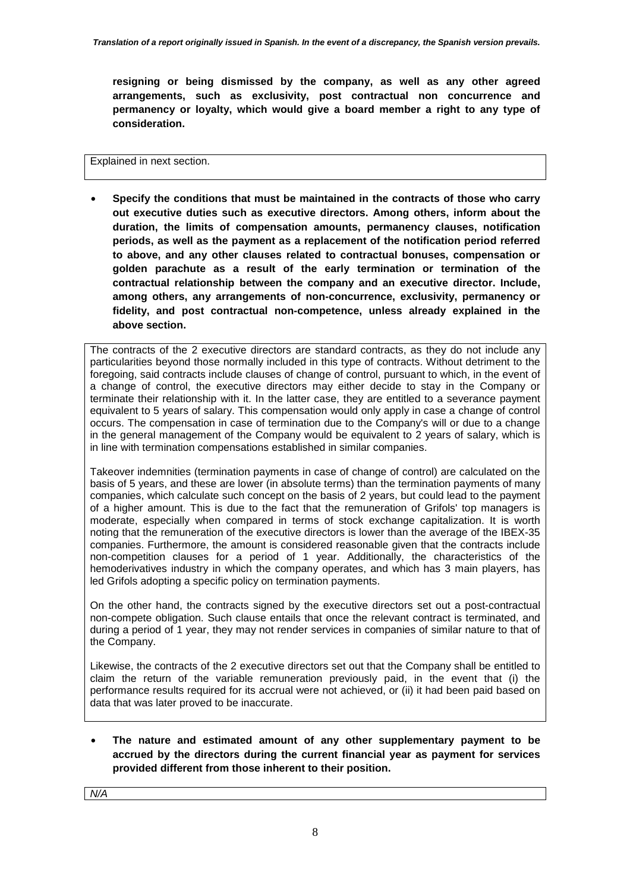**resigning or being dismissed by the company, as well as any other agreed arrangements, such as exclusivity, post contractual non concurrence and permanency or loyalty, which would give a board member a right to any type of consideration.**

#### Explained in next section.

• **Specify the conditions that must be maintained in the contracts of those who carry out executive duties such as executive directors. Among others, inform about the duration, the limits of compensation amounts, permanency clauses, notification periods, as well as the payment as a replacement of the notification period referred to above, and any other clauses related to contractual bonuses, compensation or golden parachute as a result of the early termination or termination of the contractual relationship between the company and an executive director. Include, among others, any arrangements of non-concurrence, exclusivity, permanency or fidelity, and post contractual non-competence, unless already explained in the above section.** 

The contracts of the 2 executive directors are standard contracts, as they do not include any particularities beyond those normally included in this type of contracts. Without detriment to the foregoing, said contracts include clauses of change of control, pursuant to which, in the event of a change of control, the executive directors may either decide to stay in the Company or terminate their relationship with it. In the latter case, they are entitled to a severance payment equivalent to 5 years of salary. This compensation would only apply in case a change of control occurs. The compensation in case of termination due to the Company's will or due to a change in the general management of the Company would be equivalent to 2 years of salary, which is in line with termination compensations established in similar companies.

Takeover indemnities (termination payments in case of change of control) are calculated on the basis of 5 years, and these are lower (in absolute terms) than the termination payments of many companies, which calculate such concept on the basis of 2 years, but could lead to the payment of a higher amount. This is due to the fact that the remuneration of Grifols' top managers is moderate, especially when compared in terms of stock exchange capitalization. It is worth noting that the remuneration of the executive directors is lower than the average of the IBEX-35 companies. Furthermore, the amount is considered reasonable given that the contracts include non-competition clauses for a period of 1 year. Additionally, the characteristics of the hemoderivatives industry in which the company operates, and which has 3 main players, has led Grifols adopting a specific policy on termination payments.

On the other hand, the contracts signed by the executive directors set out a post-contractual non-compete obligation. Such clause entails that once the relevant contract is terminated, and during a period of 1 year, they may not render services in companies of similar nature to that of the Company.

Likewise, the contracts of the 2 executive directors set out that the Company shall be entitled to claim the return of the variable remuneration previously paid, in the event that (i) the performance results required for its accrual were not achieved, or (ii) it had been paid based on data that was later proved to be inaccurate.

• **The nature and estimated amount of any other supplementary payment to be accrued by the directors during the current financial year as payment for services provided different from those inherent to their position.**

*N/A*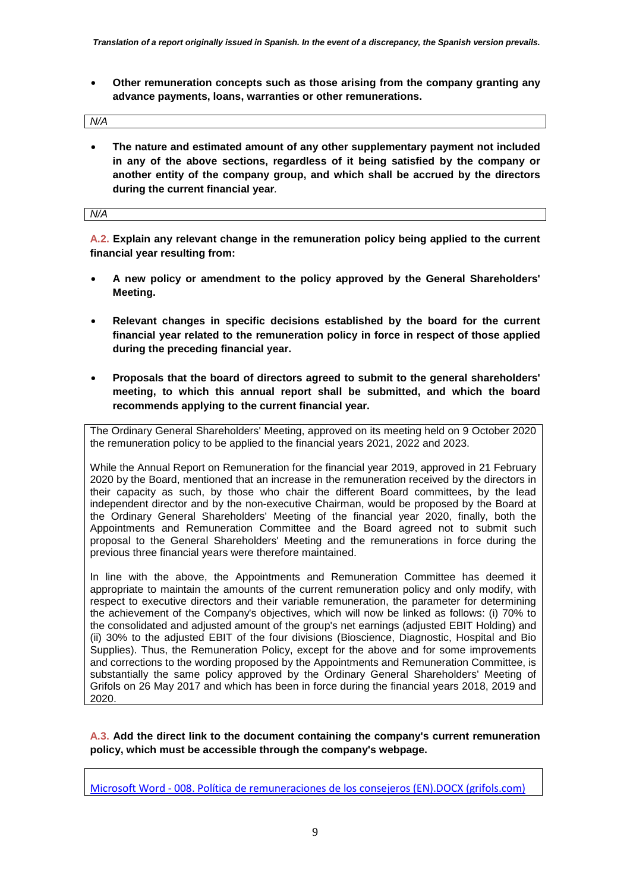• **Other remuneration concepts such as those arising from the company granting any advance payments, loans, warranties or other remunerations.** 

| N/A |  |  |
|-----|--|--|
|     |  |  |

• **The nature and estimated amount of any other supplementary payment not included in any of the above sections, regardless of it being satisfied by the company or another entity of the company group, and which shall be accrued by the directors during the current financial year***.* 

*N/A*

**A.2. Explain any relevant change in the remuneration policy being applied to the current financial year resulting from:** 

- **A new policy or amendment to the policy approved by the General Shareholders' Meeting.**
- **Relevant changes in specific decisions established by the board for the current financial year related to the remuneration policy in force in respect of those applied during the preceding financial year.**
- **Proposals that the board of directors agreed to submit to the general shareholders' meeting, to which this annual report shall be submitted, and which the board recommends applying to the current financial year.**

The Ordinary General Shareholders' Meeting, approved on its meeting held on 9 October 2020 the remuneration policy to be applied to the financial years 2021, 2022 and 2023.

While the Annual Report on Remuneration for the financial year 2019, approved in 21 February 2020 by the Board, mentioned that an increase in the remuneration received by the directors in their capacity as such, by those who chair the different Board committees, by the lead independent director and by the non-executive Chairman, would be proposed by the Board at the Ordinary General Shareholders' Meeting of the financial year 2020, finally, both the Appointments and Remuneration Committee and the Board agreed not to submit such proposal to the General Shareholders' Meeting and the remunerations in force during the previous three financial years were therefore maintained.

In line with the above, the Appointments and Remuneration Committee has deemed it appropriate to maintain the amounts of the current remuneration policy and only modify, with respect to executive directors and their variable remuneration, the parameter for determining the achievement of the Company's objectives, which will now be linked as follows: (i) 70% to the consolidated and adjusted amount of the group's net earnings (adjusted EBIT Holding) and (ii) 30% to the adjusted EBIT of the four divisions (Bioscience, Diagnostic, Hospital and Bio Supplies). Thus, the Remuneration Policy, except for the above and for some improvements and corrections to the wording proposed by the Appointments and Remuneration Committee, is substantially the same policy approved by the Ordinary General Shareholders' Meeting of Grifols on 26 May 2017 and which has been in force during the financial years 2018, 2019 and 2020.

**A.3. Add the direct link to the document containing the company's current remuneration policy, which must be accessible through the company's webpage.** 

Microsoft Word - 008. Política de remuneraciones de los consejeros (EN).DOCX (grifols.com)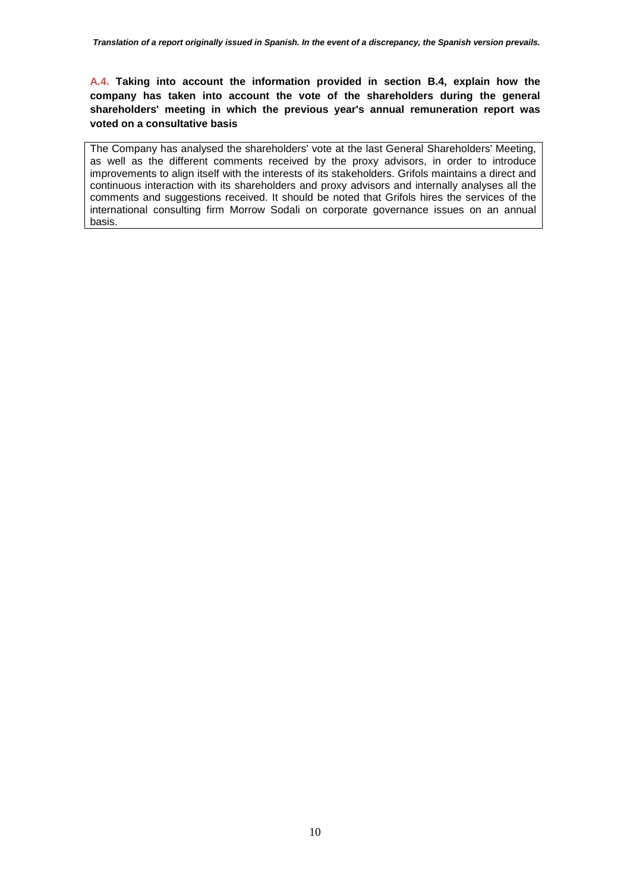**A.4. Taking into account the information provided in section B.4, explain how the company has taken into account the vote of the shareholders during the general shareholders' meeting in which the previous year's annual remuneration report was voted on a consultative basis** 

The Company has analysed the shareholders' vote at the last General Shareholders' Meeting, as well as the different comments received by the proxy advisors, in order to introduce improvements to align itself with the interests of its stakeholders. Grifols maintains a direct and continuous interaction with its shareholders and proxy advisors and internally analyses all the comments and suggestions received. It should be noted that Grifols hires the services of the international consulting firm Morrow Sodali on corporate governance issues on an annual basis.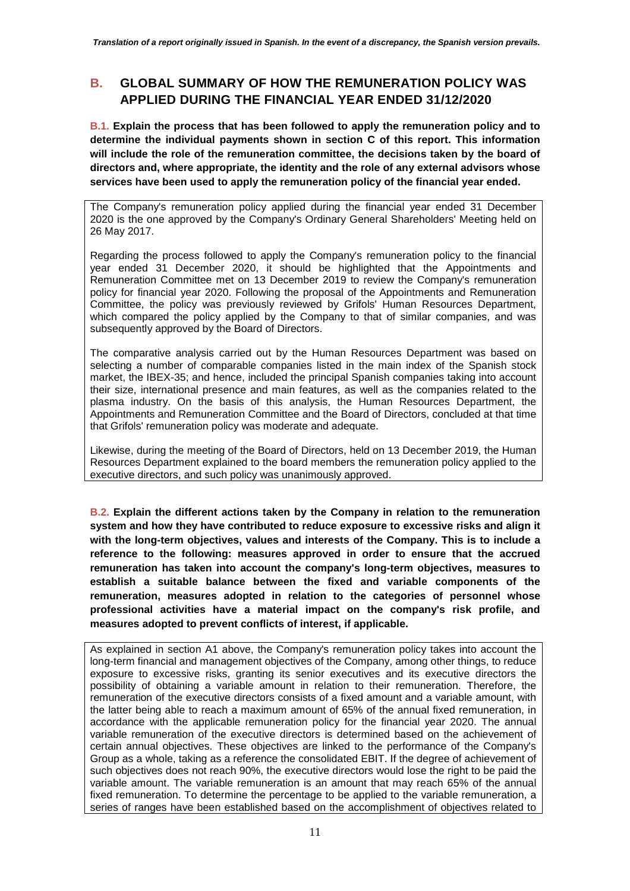# **B. GLOBAL SUMMARY OF HOW THE REMUNERATION POLICY WAS APPLIED DURING THE FINANCIAL YEAR ENDED 31/12/2020**

**B.1. Explain the process that has been followed to apply the remuneration policy and to determine the individual payments shown in section C of this report. This information will include the role of the remuneration committee, the decisions taken by the board of directors and, where appropriate, the identity and the role of any external advisors whose services have been used to apply the remuneration policy of the financial year ended.** 

The Company's remuneration policy applied during the financial year ended 31 December 2020 is the one approved by the Company's Ordinary General Shareholders' Meeting held on 26 May 2017.

Regarding the process followed to apply the Company's remuneration policy to the financial year ended 31 December 2020, it should be highlighted that the Appointments and Remuneration Committee met on 13 December 2019 to review the Company's remuneration policy for financial year 2020. Following the proposal of the Appointments and Remuneration Committee, the policy was previously reviewed by Grifols' Human Resources Department, which compared the policy applied by the Company to that of similar companies, and was subsequently approved by the Board of Directors.

The comparative analysis carried out by the Human Resources Department was based on selecting a number of comparable companies listed in the main index of the Spanish stock market, the IBEX-35; and hence, included the principal Spanish companies taking into account their size, international presence and main features, as well as the companies related to the plasma industry. On the basis of this analysis, the Human Resources Department, the Appointments and Remuneration Committee and the Board of Directors, concluded at that time that Grifols' remuneration policy was moderate and adequate.

Likewise, during the meeting of the Board of Directors, held on 13 December 2019, the Human Resources Department explained to the board members the remuneration policy applied to the executive directors, and such policy was unanimously approved.

**B.2. Explain the different actions taken by the Company in relation to the remuneration system and how they have contributed to reduce exposure to excessive risks and align it with the long-term objectives, values and interests of the Company. This is to include a reference to the following: measures approved in order to ensure that the accrued remuneration has taken into account the company's long-term objectives, measures to establish a suitable balance between the fixed and variable components of the remuneration, measures adopted in relation to the categories of personnel whose professional activities have a material impact on the company's risk profile, and measures adopted to prevent conflicts of interest, if applicable.** 

As explained in section A1 above, the Company's remuneration policy takes into account the long-term financial and management objectives of the Company, among other things, to reduce exposure to excessive risks, granting its senior executives and its executive directors the possibility of obtaining a variable amount in relation to their remuneration. Therefore, the remuneration of the executive directors consists of a fixed amount and a variable amount, with the latter being able to reach a maximum amount of 65% of the annual fixed remuneration, in accordance with the applicable remuneration policy for the financial year 2020. The annual variable remuneration of the executive directors is determined based on the achievement of certain annual objectives. These objectives are linked to the performance of the Company's Group as a whole, taking as a reference the consolidated EBIT. If the degree of achievement of such objectives does not reach 90%, the executive directors would lose the right to be paid the variable amount. The variable remuneration is an amount that may reach 65% of the annual fixed remuneration. To determine the percentage to be applied to the variable remuneration, a series of ranges have been established based on the accomplishment of objectives related to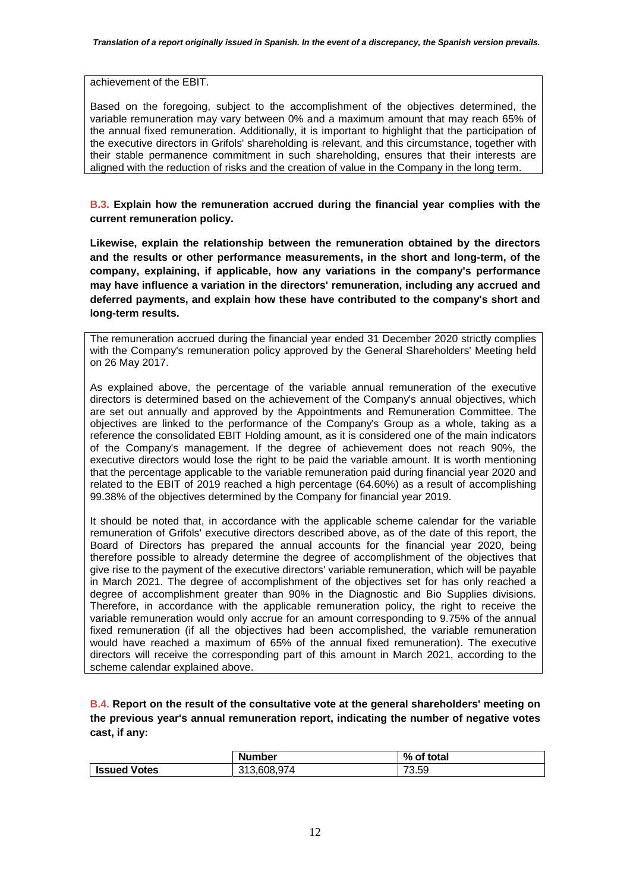#### achievement of the EBIT.

Based on the foregoing, subject to the accomplishment of the objectives determined, the variable remuneration may vary between 0% and a maximum amount that may reach 65% of the annual fixed remuneration. Additionally, it is important to highlight that the participation of the executive directors in Grifols' shareholding is relevant, and this circumstance, together with their stable permanence commitment in such shareholding, ensures that their interests are aligned with the reduction of risks and the creation of value in the Company in the long term.

**B.3. Explain how the remuneration accrued during the financial year complies with the current remuneration policy.** 

**Likewise, explain the relationship between the remuneration obtained by the directors and the results or other performance measurements, in the short and long-term, of the company, explaining, if applicable, how any variations in the company's performance may have influence a variation in the directors' remuneration, including any accrued and deferred payments, and explain how these have contributed to the company's short and long-term results.** 

The remuneration accrued during the financial year ended 31 December 2020 strictly complies with the Company's remuneration policy approved by the General Shareholders' Meeting held on 26 May 2017.

As explained above, the percentage of the variable annual remuneration of the executive directors is determined based on the achievement of the Company's annual objectives, which are set out annually and approved by the Appointments and Remuneration Committee. The objectives are linked to the performance of the Company's Group as a whole, taking as a reference the consolidated EBIT Holding amount, as it is considered one of the main indicators of the Company's management. If the degree of achievement does not reach 90%, the executive directors would lose the right to be paid the variable amount. It is worth mentioning that the percentage applicable to the variable remuneration paid during financial year 2020 and related to the EBIT of 2019 reached a high percentage (64.60%) as a result of accomplishing 99.38% of the objectives determined by the Company for financial year 2019.

It should be noted that, in accordance with the applicable scheme calendar for the variable remuneration of Grifols' executive directors described above, as of the date of this report, the Board of Directors has prepared the annual accounts for the financial year 2020, being therefore possible to already determine the degree of accomplishment of the objectives that give rise to the payment of the executive directors' variable remuneration, which will be payable in March 2021. The degree of accomplishment of the objectives set for has only reached a degree of accomplishment greater than 90% in the Diagnostic and Bio Supplies divisions. Therefore, in accordance with the applicable remuneration policy, the right to receive the variable remuneration would only accrue for an amount corresponding to 9.75% of the annual fixed remuneration (if all the objectives had been accomplished, the variable remuneration would have reached a maximum of 65% of the annual fixed remuneration). The executive directors will receive the corresponding part of this amount in March 2021, according to the scheme calendar explained above.

**B.4. Report on the result of the consultative vote at the general shareholders' meeting on the previous year's annual remuneration report, indicating the number of negative votes cast, if any:** 

|                     | <b>Number</b> | % of total |
|---------------------|---------------|------------|
| <b>Issued Votes</b> | 313.608.974   | 73.59      |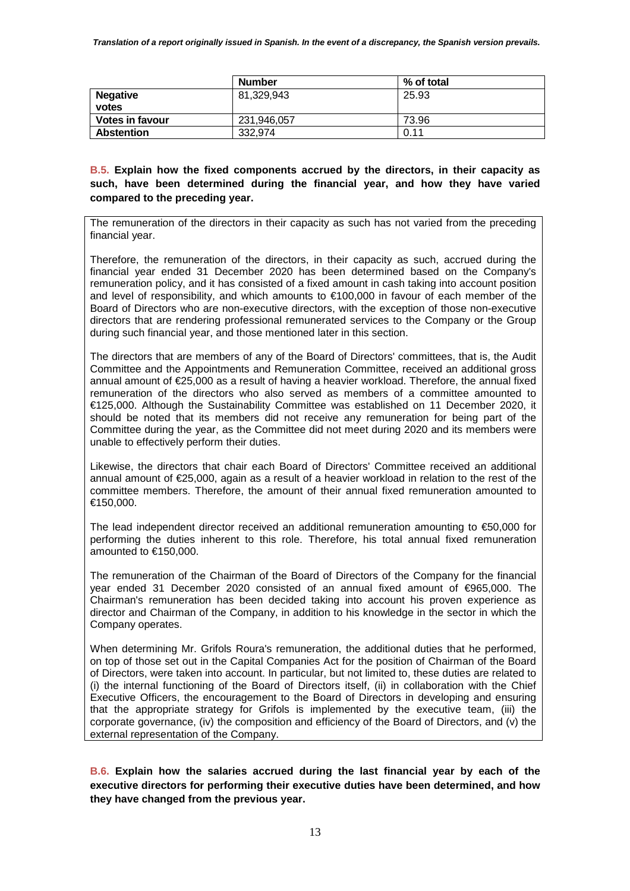|                          | <b>Number</b> | % of total |
|--------------------------|---------------|------------|
| <b>Negative</b><br>votes | 81,329,943    | 25.93      |
| <b>Votes in favour</b>   | 231,946,057   | 73.96      |
| <b>Abstention</b>        | 332,974       | 0.11       |

**B.5. Explain how the fixed components accrued by the directors, in their capacity as such, have been determined during the financial year, and how they have varied compared to the preceding year.** 

The remuneration of the directors in their capacity as such has not varied from the preceding financial year.

Therefore, the remuneration of the directors, in their capacity as such, accrued during the financial year ended 31 December 2020 has been determined based on the Company's remuneration policy, and it has consisted of a fixed amount in cash taking into account position and level of responsibility, and which amounts to €100,000 in favour of each member of the Board of Directors who are non-executive directors, with the exception of those non-executive directors that are rendering professional remunerated services to the Company or the Group during such financial year, and those mentioned later in this section.

The directors that are members of any of the Board of Directors' committees, that is, the Audit Committee and the Appointments and Remuneration Committee, received an additional gross annual amount of €25,000 as a result of having a heavier workload. Therefore, the annual fixed remuneration of the directors who also served as members of a committee amounted to €125,000. Although the Sustainability Committee was established on 11 December 2020, it should be noted that its members did not receive any remuneration for being part of the Committee during the year, as the Committee did not meet during 2020 and its members were unable to effectively perform their duties.

Likewise, the directors that chair each Board of Directors' Committee received an additional annual amount of €25,000, again as a result of a heavier workload in relation to the rest of the committee members. Therefore, the amount of their annual fixed remuneration amounted to €150,000.

The lead independent director received an additional remuneration amounting to €50,000 for performing the duties inherent to this role. Therefore, his total annual fixed remuneration amounted to €150,000.

The remuneration of the Chairman of the Board of Directors of the Company for the financial year ended 31 December 2020 consisted of an annual fixed amount of €965,000. The Chairman's remuneration has been decided taking into account his proven experience as director and Chairman of the Company, in addition to his knowledge in the sector in which the Company operates.

When determining Mr. Grifols Roura's remuneration, the additional duties that he performed, on top of those set out in the Capital Companies Act for the position of Chairman of the Board of Directors, were taken into account. In particular, but not limited to, these duties are related to (i) the internal functioning of the Board of Directors itself, (ii) in collaboration with the Chief Executive Officers, the encouragement to the Board of Directors in developing and ensuring that the appropriate strategy for Grifols is implemented by the executive team, (iii) the corporate governance, (iv) the composition and efficiency of the Board of Directors, and (v) the external representation of the Company.

**B.6. Explain how the salaries accrued during the last financial year by each of the executive directors for performing their executive duties have been determined, and how they have changed from the previous year.**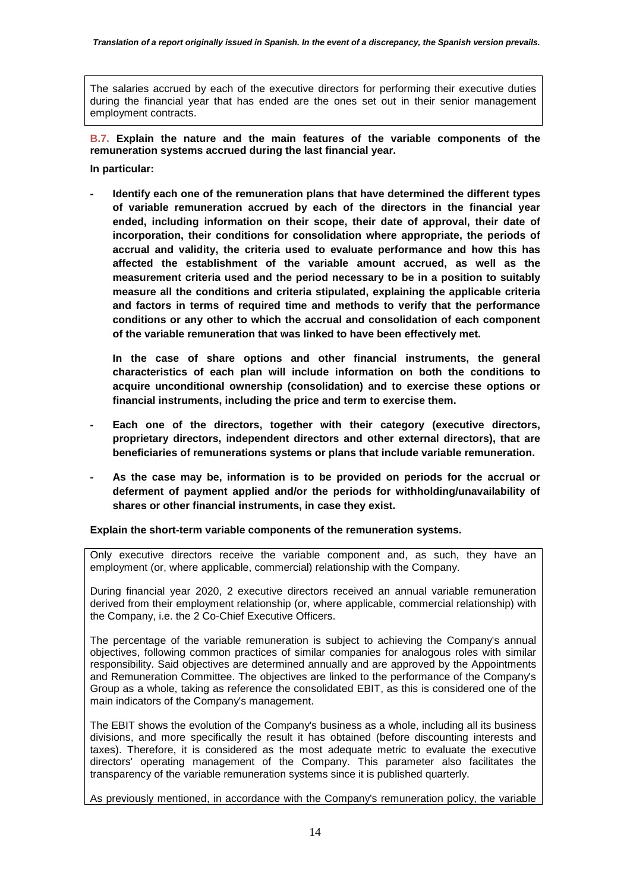The salaries accrued by each of the executive directors for performing their executive duties during the financial year that has ended are the ones set out in their senior management employment contracts.

**B.7. Explain the nature and the main features of the variable components of the remuneration systems accrued during the last financial year.** 

**In particular:** 

**- Identify each one of the remuneration plans that have determined the different types of variable remuneration accrued by each of the directors in the financial year ended, including information on their scope, their date of approval, their date of incorporation, their conditions for consolidation where appropriate, the periods of accrual and validity, the criteria used to evaluate performance and how this has affected the establishment of the variable amount accrued, as well as the measurement criteria used and the period necessary to be in a position to suitably measure all the conditions and criteria stipulated, explaining the applicable criteria and factors in terms of required time and methods to verify that the performance conditions or any other to which the accrual and consolidation of each component of the variable remuneration that was linked to have been effectively met.** 

**In the case of share options and other financial instruments, the general characteristics of each plan will include information on both the conditions to acquire unconditional ownership (consolidation) and to exercise these options or financial instruments, including the price and term to exercise them.** 

- **Each one of the directors, together with their category (executive directors, proprietary directors, independent directors and other external directors), that are beneficiaries of remunerations systems or plans that include variable remuneration.**
- **As the case may be, information is to be provided on periods for the accrual or deferment of payment applied and/or the periods for withholding/unavailability of shares or other financial instruments, in case they exist.**

**Explain the short-term variable components of the remuneration systems.** 

Only executive directors receive the variable component and, as such, they have an employment (or, where applicable, commercial) relationship with the Company.

During financial year 2020, 2 executive directors received an annual variable remuneration derived from their employment relationship (or, where applicable, commercial relationship) with the Company, i.e. the 2 Co-Chief Executive Officers.

The percentage of the variable remuneration is subject to achieving the Company's annual objectives, following common practices of similar companies for analogous roles with similar responsibility. Said objectives are determined annually and are approved by the Appointments and Remuneration Committee. The objectives are linked to the performance of the Company's Group as a whole, taking as reference the consolidated EBIT, as this is considered one of the main indicators of the Company's management.

The EBIT shows the evolution of the Company's business as a whole, including all its business divisions, and more specifically the result it has obtained (before discounting interests and taxes). Therefore, it is considered as the most adequate metric to evaluate the executive directors' operating management of the Company. This parameter also facilitates the transparency of the variable remuneration systems since it is published quarterly.

As previously mentioned, in accordance with the Company's remuneration policy, the variable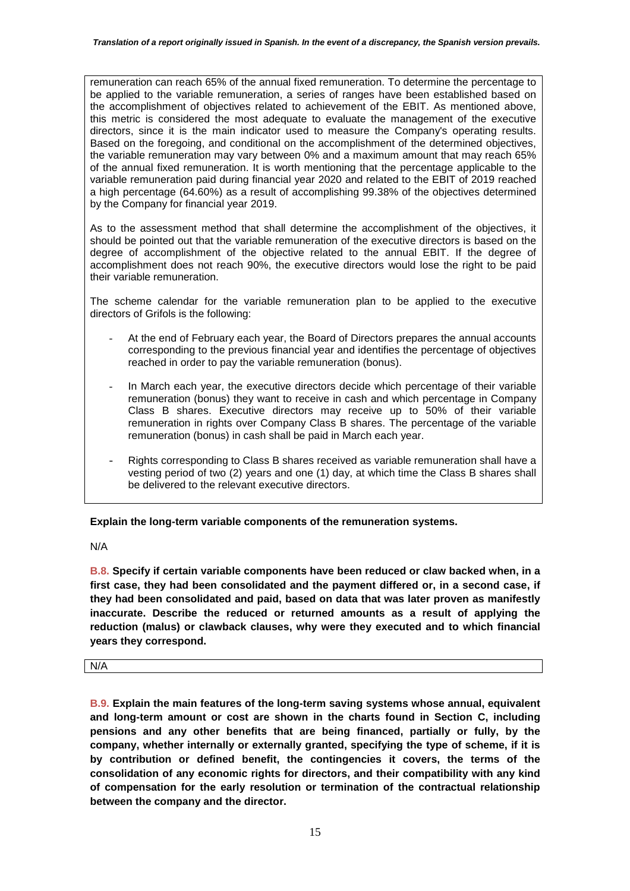remuneration can reach 65% of the annual fixed remuneration. To determine the percentage to be applied to the variable remuneration, a series of ranges have been established based on the accomplishment of objectives related to achievement of the EBIT. As mentioned above, this metric is considered the most adequate to evaluate the management of the executive directors, since it is the main indicator used to measure the Company's operating results. Based on the foregoing, and conditional on the accomplishment of the determined objectives, the variable remuneration may vary between 0% and a maximum amount that may reach 65% of the annual fixed remuneration. It is worth mentioning that the percentage applicable to the variable remuneration paid during financial year 2020 and related to the EBIT of 2019 reached a high percentage (64.60%) as a result of accomplishing 99.38% of the objectives determined by the Company for financial year 2019.

As to the assessment method that shall determine the accomplishment of the objectives, it should be pointed out that the variable remuneration of the executive directors is based on the degree of accomplishment of the objective related to the annual EBIT. If the degree of accomplishment does not reach 90%, the executive directors would lose the right to be paid their variable remuneration.

The scheme calendar for the variable remuneration plan to be applied to the executive directors of Grifols is the following:

- At the end of February each year, the Board of Directors prepares the annual accounts corresponding to the previous financial year and identifies the percentage of objectives reached in order to pay the variable remuneration (bonus).
- In March each year, the executive directors decide which percentage of their variable remuneration (bonus) they want to receive in cash and which percentage in Company Class B shares. Executive directors may receive up to 50% of their variable remuneration in rights over Company Class B shares. The percentage of the variable remuneration (bonus) in cash shall be paid in March each year.
- Rights corresponding to Class B shares received as variable remuneration shall have a vesting period of two (2) years and one (1) day, at which time the Class B shares shall be delivered to the relevant executive directors.

**Explain the long-term variable components of the remuneration systems.** 

N/A

**B.8. Specify if certain variable components have been reduced or claw backed when, in a first case, they had been consolidated and the payment differed or, in a second case, if they had been consolidated and paid, based on data that was later proven as manifestly inaccurate. Describe the reduced or returned amounts as a result of applying the reduction (malus) or clawback clauses, why were they executed and to which financial years they correspond.** 

N/A

**B.9. Explain the main features of the long-term saving systems whose annual, equivalent and long-term amount or cost are shown in the charts found in Section C, including pensions and any other benefits that are being financed, partially or fully, by the company, whether internally or externally granted, specifying the type of scheme, if it is by contribution or defined benefit, the contingencies it covers, the terms of the consolidation of any economic rights for directors, and their compatibility with any kind of compensation for the early resolution or termination of the contractual relationship between the company and the director.**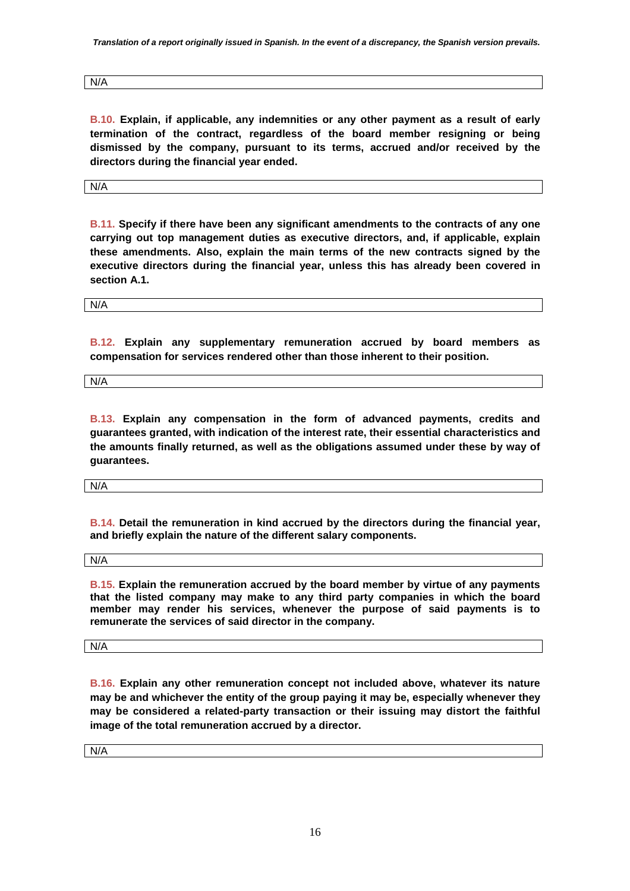*Translation of a report originally issued in Spanish. In the event of a discrepancy, the Spanish version prevails.* 

N/A

**B.10. Explain, if applicable, any indemnities or any other payment as a result of early termination of the contract, regardless of the board member resigning or being dismissed by the company, pursuant to its terms, accrued and/or received by the directors during the financial year ended.** 

N/A

**B.11. Specify if there have been any significant amendments to the contracts of any one carrying out top management duties as executive directors, and, if applicable, explain these amendments. Also, explain the main terms of the new contracts signed by the executive directors during the financial year, unless this has already been covered in section A.1.** 

N/A

**B.12. Explain any supplementary remuneration accrued by board members as compensation for services rendered other than those inherent to their position.** 

N/A

**B.13. Explain any compensation in the form of advanced payments, credits and guarantees granted, with indication of the interest rate, their essential characteristics and the amounts finally returned, as well as the obligations assumed under these by way of guarantees.** 

N/A

**B.14. Detail the remuneration in kind accrued by the directors during the financial year, and briefly explain the nature of the different salary components.** 

N/A

**B.15. Explain the remuneration accrued by the board member by virtue of any payments that the listed company may make to any third party companies in which the board member may render his services, whenever the purpose of said payments is to remunerate the services of said director in the company.** 

N/A

**B.16. Explain any other remuneration concept not included above, whatever its nature may be and whichever the entity of the group paying it may be, especially whenever they may be considered a related-party transaction or their issuing may distort the faithful image of the total remuneration accrued by a director.** 

N/A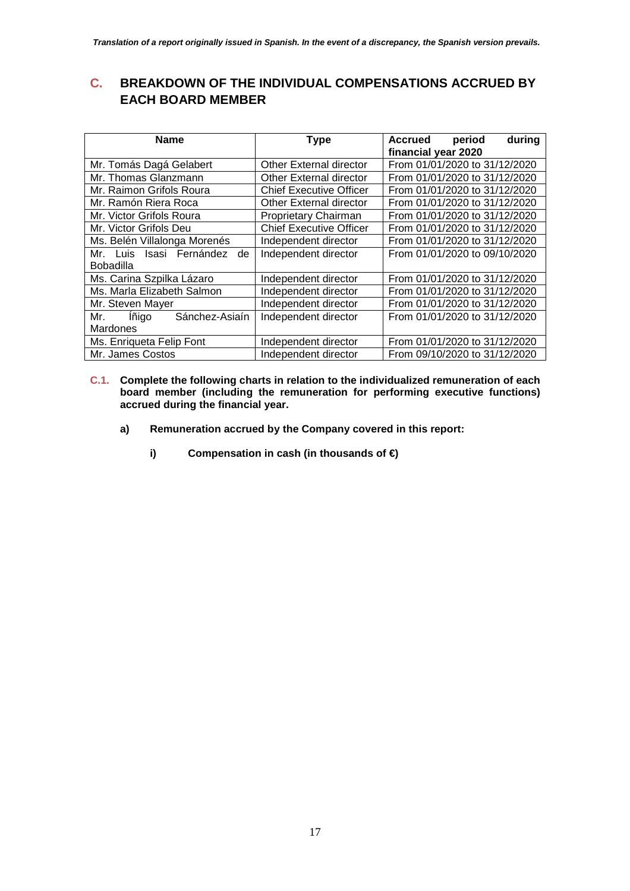# **C. BREAKDOWN OF THE INDIVIDUAL COMPENSATIONS ACCRUED BY EACH BOARD MEMBER**

| <b>Name</b>                    | <b>Type</b>                    | period<br>during<br>Accrued<br>financial year 2020 |
|--------------------------------|--------------------------------|----------------------------------------------------|
| Mr. Tomás Dagá Gelabert        | Other External director        | From 01/01/2020 to 31/12/2020                      |
| Mr. Thomas Glanzmann           | Other External director        | From 01/01/2020 to 31/12/2020                      |
| Mr. Raimon Grifols Roura       | <b>Chief Executive Officer</b> | From 01/01/2020 to 31/12/2020                      |
| Mr. Ramón Riera Roca           | Other External director        | From 01/01/2020 to 31/12/2020                      |
| Mr. Victor Grifols Roura       | Proprietary Chairman           | From 01/01/2020 to 31/12/2020                      |
| Mr. Victor Grifols Deu         | <b>Chief Executive Officer</b> | From 01/01/2020 to 31/12/2020                      |
| Ms. Belén Villalonga Morenés   | Independent director           | From 01/01/2020 to 31/12/2020                      |
| Mr. Luis Isasi Fernández<br>de | Independent director           | From 01/01/2020 to 09/10/2020                      |
| Bobadilla                      |                                |                                                    |
| Ms. Carina Szpilka Lázaro      | Independent director           | From 01/01/2020 to 31/12/2020                      |
| Ms. Marla Elizabeth Salmon     | Independent director           | From 01/01/2020 to 31/12/2020                      |
| Mr. Steven Mayer               | Independent director           | From 01/01/2020 to 31/12/2020                      |
| lñigo<br>Sánchez-Asiaín<br>Mr. | Independent director           | From 01/01/2020 to 31/12/2020                      |
| Mardones                       |                                |                                                    |
| Ms. Enriqueta Felip Font       | Independent director           | From 01/01/2020 to 31/12/2020                      |
| Mr. James Costos               | Independent director           | From 09/10/2020 to 31/12/2020                      |

- **C.1. Complete the following charts in relation to the individualized remuneration of each board member (including the remuneration for performing executive functions) accrued during the financial year.** 
	- **a) Remuneration accrued by the Company covered in this report:** 
		- **i) Compensation in cash (in thousands of €)**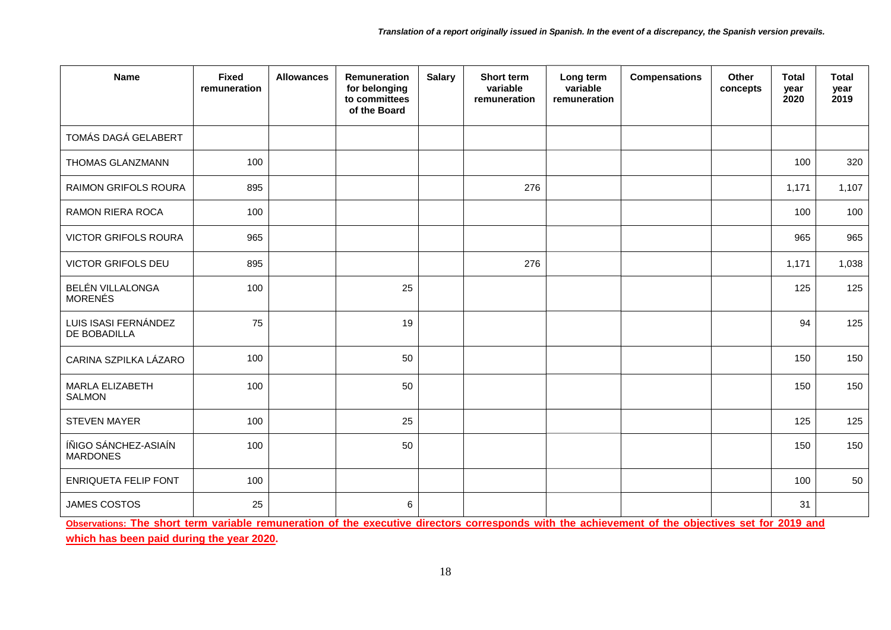| <b>Name</b>                             | <b>Fixed</b><br>remuneration | <b>Allowances</b> | Remuneration<br>for belonging<br>to committees<br>of the Board | <b>Salary</b> | Short term<br>variable<br>remuneration | Long term<br>variable<br>remuneration | <b>Compensations</b> | Other<br>concepts | <b>Total</b><br>year<br>2020 | <b>Total</b><br>year<br>2019 |
|-----------------------------------------|------------------------------|-------------------|----------------------------------------------------------------|---------------|----------------------------------------|---------------------------------------|----------------------|-------------------|------------------------------|------------------------------|
| TOMÁS DAGÁ GELABERT                     |                              |                   |                                                                |               |                                        |                                       |                      |                   |                              |                              |
| THOMAS GLANZMANN                        | 100                          |                   |                                                                |               |                                        |                                       |                      |                   | 100                          | 320                          |
| RAIMON GRIFOLS ROURA                    | 895                          |                   |                                                                |               | 276                                    |                                       |                      |                   | 1,171                        | 1,107                        |
| <b>RAMON RIERA ROCA</b>                 | 100                          |                   |                                                                |               |                                        |                                       |                      |                   | 100                          | 100                          |
| <b>VICTOR GRIFOLS ROURA</b>             | 965                          |                   |                                                                |               |                                        |                                       |                      |                   | 965                          | 965                          |
| <b>VICTOR GRIFOLS DEU</b>               | 895                          |                   |                                                                |               | 276                                    |                                       |                      |                   | 1,171                        | 1,038                        |
| BELÉN VILLALONGA<br><b>MORENÉS</b>      | 100                          |                   | 25                                                             |               |                                        |                                       |                      |                   | 125                          | 125                          |
| LUIS ISASI FERNÁNDEZ<br>DE BOBADILLA    | 75                           |                   | 19                                                             |               |                                        |                                       |                      |                   | 94                           | 125                          |
| CARINA SZPILKA LÁZARO                   | 100                          |                   | 50                                                             |               |                                        |                                       |                      |                   | 150                          | 150                          |
| MARLA ELIZABETH<br><b>SALMON</b>        | 100                          |                   | 50                                                             |               |                                        |                                       |                      |                   | 150                          | 150                          |
| <b>STEVEN MAYER</b>                     | 100                          |                   | 25                                                             |               |                                        |                                       |                      |                   | 125                          | 125                          |
| ÍÑIGO SÁNCHEZ-ASIAÍN<br><b>MARDONES</b> | 100                          |                   | 50                                                             |               |                                        |                                       |                      |                   | 150                          | 150                          |
| <b>ENRIQUETA FELIP FONT</b>             | 100                          |                   |                                                                |               |                                        |                                       |                      |                   | 100                          | 50                           |
| JAMES COSTOS                            | 25                           |                   | 6                                                              |               |                                        | <b>FARM ARE</b>                       |                      |                   | 31                           |                              |

**Observations: The short term variable remuneration of the executive directors corresponds with the achievement of the objectives set for 2019 and** 

**which has been paid during the year 2020.**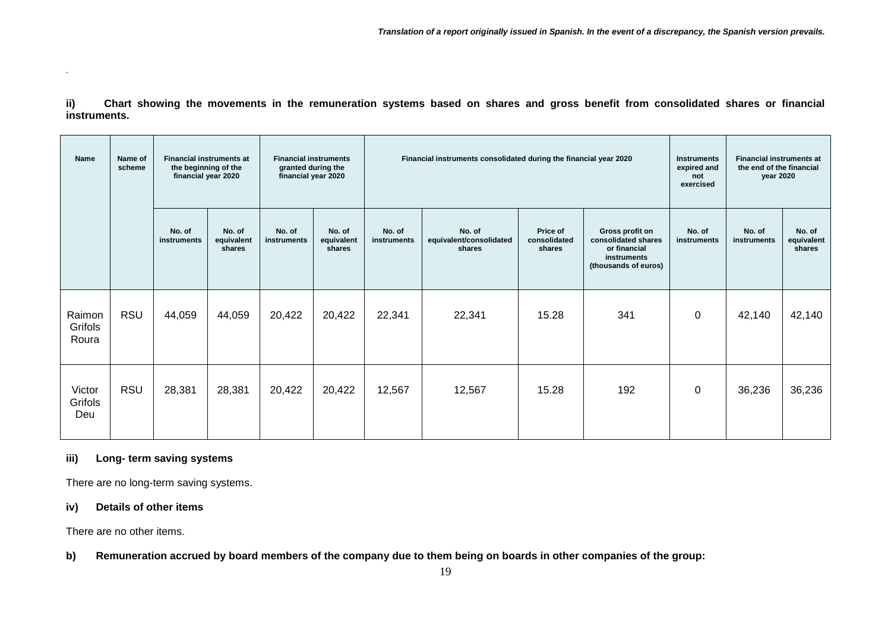**ii) Chart showing the movements in the remuneration systems based on shares and gross benefit from consolidated shares or financial instruments.**

| Name                       | Name of<br>scheme | <b>Financial instruments at</b><br>the beginning of the<br>financial year 2020 |                                | <b>Financial instruments</b><br>granted during the<br>financial year 2020 |                                |                       | Financial instruments consolidated during the financial year 2020 | <b>Instruments</b><br>expired and<br>not<br>exercised | <b>Financial instruments at</b><br>the end of the financial<br>year 2020                      |                       |                       |                                |
|----------------------------|-------------------|--------------------------------------------------------------------------------|--------------------------------|---------------------------------------------------------------------------|--------------------------------|-----------------------|-------------------------------------------------------------------|-------------------------------------------------------|-----------------------------------------------------------------------------------------------|-----------------------|-----------------------|--------------------------------|
|                            |                   | No. of<br>instruments                                                          | No. of<br>equivalent<br>shares | No. of<br>instruments                                                     | No. of<br>equivalent<br>shares | No. of<br>instruments | No. of<br>equivalent/consolidated<br>shares                       |                                                       | Gross profit on<br>consolidated shares<br>or financial<br>instruments<br>(thousands of euros) | No. of<br>instruments | No. of<br>instruments | No. of<br>equivalent<br>shares |
| Raimon<br>Grifols<br>Roura | <b>RSU</b>        | 44,059                                                                         | 44,059                         | 20,422                                                                    | 20,422                         | 22,341                | 22,341                                                            | 15.28                                                 | 341                                                                                           | $\mathbf 0$           | 42,140                | 42,140                         |
| Victor<br>Grifols<br>Deu   | <b>RSU</b>        | 28,381                                                                         | 28,381                         | 20,422                                                                    | 20,422                         | 12,567                | 12,567                                                            | 15.28                                                 | 192                                                                                           | $\mathbf 0$           | 36,236                | 36,236                         |

#### **iii) Long- term saving systems**

There are no long-term saving systems.

### **iv) Details of other items**

There are no other items.

**b) Remuneration accrued by board members of the company due to them being on boards in other companies of the group:**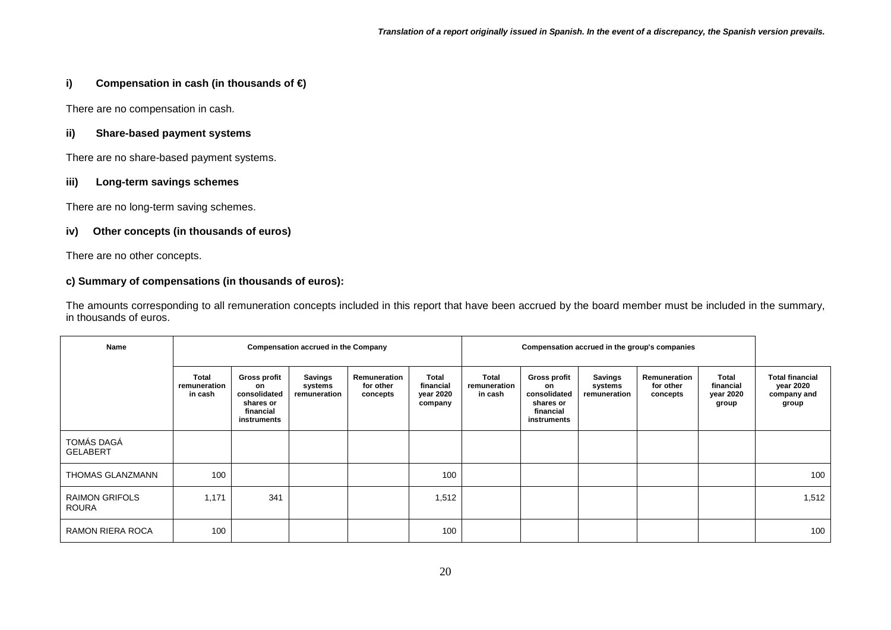## **i) Compensation in cash (in thousands of €)**

There are no compensation in cash.

### **ii) Share-based payment systems**

There are no share-based payment systems.

### **iii) Long-term savings schemes**

There are no long-term saving schemes.

### **iv) Other concepts (in thousands of euros)**

There are no other concepts.

## **c) Summary of compensations (in thousands of euros):**

The amounts corresponding to all remuneration concepts included in this report that have been accrued by the board member must be included in the summary, in thousands of euros.

| Name                           |                                  |                                                                             | <b>Compensation accrued in the Company</b> |                                       |                                            | Compensation accrued in the group's companies |                                                                             |                                    |                                       |                                          |                                                             |
|--------------------------------|----------------------------------|-----------------------------------------------------------------------------|--------------------------------------------|---------------------------------------|--------------------------------------------|-----------------------------------------------|-----------------------------------------------------------------------------|------------------------------------|---------------------------------------|------------------------------------------|-------------------------------------------------------------|
|                                | Total<br>remuneration<br>in cash | Gross profit<br>on<br>consolidated<br>shares or<br>financial<br>instruments | Savings<br>systems<br>remuneration         | Remuneration<br>for other<br>concepts | Total<br>financial<br>year 2020<br>company | <b>Total</b><br>remuneration<br>in cash       | Gross profit<br>on<br>consolidated<br>shares or<br>financial<br>instruments | Savings<br>systems<br>remuneration | Remuneration<br>for other<br>concepts | Total<br>financial<br>year 2020<br>group | <b>Total financial</b><br>year 2020<br>company and<br>group |
| TOMÁS DAGÁ<br><b>GELABERT</b>  |                                  |                                                                             |                                            |                                       |                                            |                                               |                                                                             |                                    |                                       |                                          |                                                             |
| THOMAS GLANZMANN               | 100                              |                                                                             |                                            |                                       | 100                                        |                                               |                                                                             |                                    |                                       |                                          | 100                                                         |
| <b>RAIMON GRIFOLS</b><br>ROURA | 1,171                            | 341                                                                         |                                            |                                       | 1,512                                      |                                               |                                                                             |                                    |                                       |                                          | 1,512                                                       |
| RAMON RIERA ROCA               | 100                              |                                                                             |                                            |                                       | 100                                        |                                               |                                                                             |                                    |                                       |                                          | 100                                                         |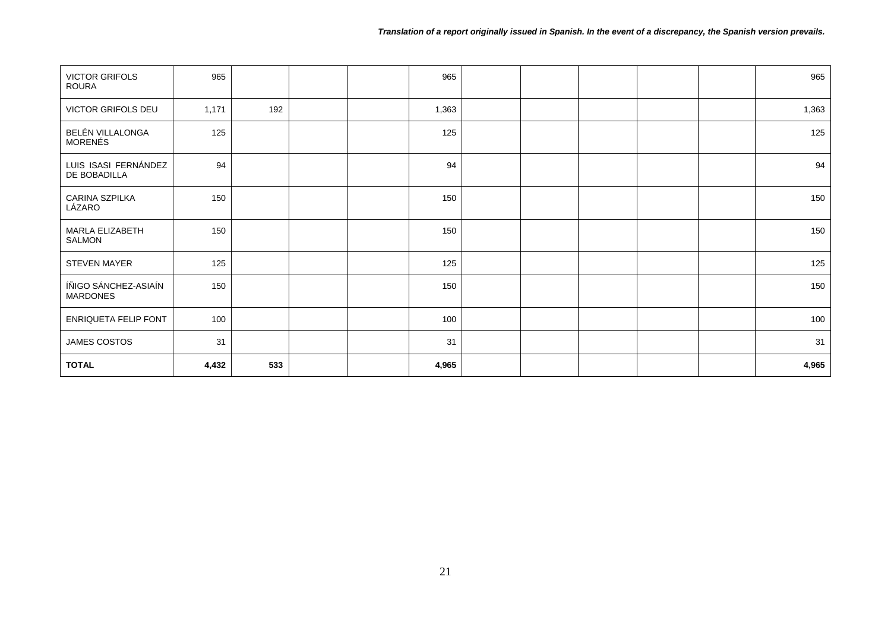| <b>VICTOR GRIFOLS</b><br><b>ROURA</b>   | 965   |     |  | 965   |  |  | 965   |
|-----------------------------------------|-------|-----|--|-------|--|--|-------|
| VICTOR GRIFOLS DEU                      | 1,171 | 192 |  | 1,363 |  |  | 1,363 |
| BELÉN VILLALONGA<br><b>MORENÉS</b>      | 125   |     |  | 125   |  |  | 125   |
| LUIS ISASI FERNÁNDEZ<br>DE BOBADILLA    | 94    |     |  | 94    |  |  | 94    |
| CARINA SZPILKA<br>LÁZARO                | 150   |     |  | 150   |  |  | 150   |
| MARLA ELIZABETH<br>SALMON               | 150   |     |  | 150   |  |  | 150   |
| STEVEN MAYER                            | 125   |     |  | 125   |  |  | 125   |
| ÍÑIGO SÁNCHEZ-ASIAÍN<br><b>MARDONES</b> | 150   |     |  | 150   |  |  | 150   |
| ENRIQUETA FELIP FONT                    | 100   |     |  | 100   |  |  | 100   |
| JAMES COSTOS                            | 31    |     |  | 31    |  |  | 31    |
| <b>TOTAL</b>                            | 4,432 | 533 |  | 4,965 |  |  | 4,965 |